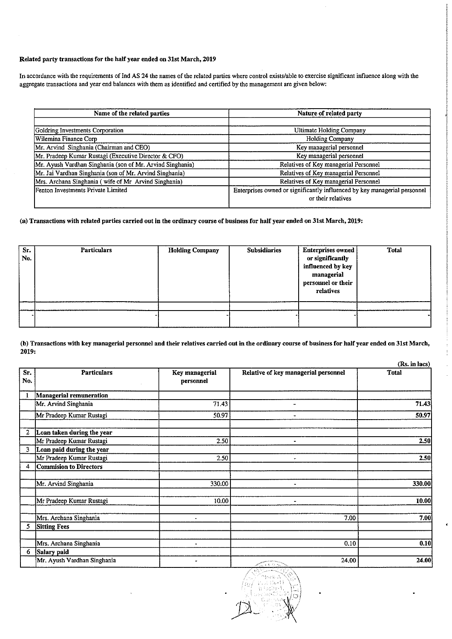## Related party transactions for the half year ended on 31st March, 2019

In accordance with the requirements of Ind AS 24 the names of the related parties where control exists/able to exercise significant influence along with the aggregate transactions and year end balances with them as identified and certified by the management are given below:

| Name of the related parties                               | Nature of related party                                                   |
|-----------------------------------------------------------|---------------------------------------------------------------------------|
|                                                           |                                                                           |
| Goldring Investments Corporation                          | Ultimate Holding Company                                                  |
| Wilemina Finance Corp                                     | Holding Company                                                           |
| Mr. Arvind Singhania (Chairman and CEO)                   | Key managerial personnel                                                  |
| Mr. Pradeep Kumar Rustagi (Executive Director & CFO)      | Key managerial personnel                                                  |
| Mr. Ayush Vardhan Singhania (son of Mr. Arvind Singhania) | Relatives of Key managerial Personnel                                     |
| Mr. Jai Vardhan Singhania (son of Mr. Arvind Singhania)   | Relatives of Key managerial Personnel                                     |
| Mrs. Archana Singhania ( wife of Mr Arvind Singhania)     | Relatives of Key managerial Personnel                                     |
| Fenton Investments Private Limited                        | Enterprises owned or significantly influenced by key managerial personnel |
|                                                           | or their relatives                                                        |

## (a) Transactions with related parties carried out in the ordinary course of business for half year ended on 31st March, 2019:

| Sr.<br>No. | <b>Particulars</b> | <b>Holding Company</b> | <b>Subsidiaries</b> | <b>Enterprises owned</b><br>or significantly<br>influenced by key<br>managerial<br>personnel or their<br>relatives | <b>Total</b> |
|------------|--------------------|------------------------|---------------------|--------------------------------------------------------------------------------------------------------------------|--------------|
|            |                    |                        |                     |                                                                                                                    |              |
|            |                    |                        |                     |                                                                                                                    |              |

(b) Transactions with key managerial personnel and their relatives carried out in the ordinary course of business for half year ended on 31st March, 2019:

|                |                               |                                    | (Rs. in lacs)                        |              |  |  |
|----------------|-------------------------------|------------------------------------|--------------------------------------|--------------|--|--|
| Sr.<br>No.     | <b>Particulars</b>            | <b>Key managerial</b><br>personnel | Relative of key managerial personnel | <b>Total</b> |  |  |
| $\mathbf{1}$   | Managerial remuneration       |                                    |                                      |              |  |  |
|                | Mr. Arvind Singhania          | 71.43                              |                                      | 71.43        |  |  |
|                | Mr Pradeep Kumar Rustagi      | 50.97                              |                                      | 50.97        |  |  |
| $\overline{2}$ | Loan taken during the year    |                                    |                                      |              |  |  |
|                | Mr Pradeep Kumar Rustagi      | 2.50                               | $\blacksquare$                       | 2.50         |  |  |
| 3              | Loan paid during the year     |                                    |                                      |              |  |  |
|                | Mr Pradeep Kumar Rustagi      | 2.50                               | ٠                                    | 2.50         |  |  |
| 4              | <b>Commision to Directors</b> |                                    |                                      |              |  |  |
|                | Mr. Arvind Singhania          | 330.00                             |                                      | 330.00       |  |  |
|                | Mr Pradeep Kumar Rustagi      | 10.00                              |                                      | 10.00        |  |  |
|                | Mrs. Archana Singhania        |                                    | 7.00                                 | 7.00         |  |  |
| 5              | <b>Sitting Fees</b>           |                                    |                                      |              |  |  |
|                | Mrs. Archana Singhania        |                                    | 0.10                                 | 0.10         |  |  |
| 6              | Salary paid                   |                                    |                                      |              |  |  |
|                | Mr. Ayush Vardhan Singhania   | $\bullet$                          | 24.00<br>and the ac-                 | 24.00        |  |  |